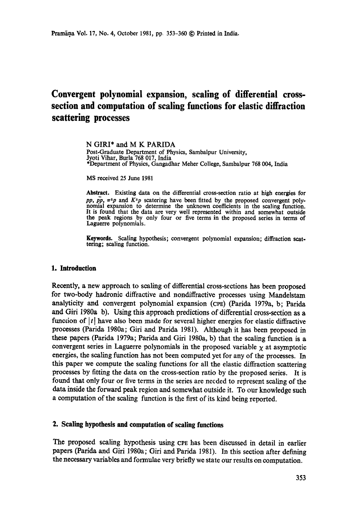# **Convergent polynomial expansion, scaling of differential crosssection and computation of scaling functions for elastic diffraction scattering processes**

N GIRI\* and M K PARIDA Post-Graduate Department of Physics, Sambalpur University, Jyoti Vihar, Burla 768 017, India \*Department of Physics, Gangadhar Meher College, Sambalpur 768 004, India

MS received 25 June 1981

Abstract. Existing data on the differential cross-section ratio at high energies for *pp,*  $\overline{p}$ *,*  $\pi^{\pm}$ *p* and  $K^{\pm}$ *p* scatering have been fitted by the proposed convergent polynomial expansion to determine the unknown coefficients in the scaling function. It is found that the data are very well represented within and somewhat outside the peak regions by only four or five terms in the proposed series in terms of Laguerre polynomials.

**Keywords.** Scaling hypothesis; convergent polynomial expansion; diffraction seat. tering; scaling function.

#### **1. Introduction**

Recently, a new approach to sealing of differential cross-sections has been proposed for two-body hadronic diffractive and nondiffractive processes using Mandelstam analyticity and convergent polynomial expansion (cPE) (Parida 1979a, b; Parida and Giri 1980a b). Using this approach predictions of differential cross-section as a function of  $|t|$  have also been made for several higher energies for elastic diffractive processes (Paricla 1980a; Giri and Parida 1981). Although it has been proposed in these papers (Parida 1979a; Parida and Giri 1980a, b) that the scaling function is a convergent series in Laguerre polynomials in the proposed variable  $\chi$  at asymptotic energies, the scaling function has not been computed yet for any of the processes. In this paper we compute the scaling functions for all the elastic diffraction scattering processes by fitting the data on the cross-section ratio by the proposed series. It is found that only four or five terms in the series are needed to represent scaling of the data inside the forward peak region and somewhat outside it. To our knowledge such a computation of the sealing function is the first of its kind being reported.

# **2. Scaling hypothesis and computation of scaling functions**

The proposed scaling hypothesis using cPE has been discussed in detail in earlier papers (Parida and Giri 1980a; Giri and Parida 1981). In this section after defining the necessary variables and formulae very briefly we state our results on computation.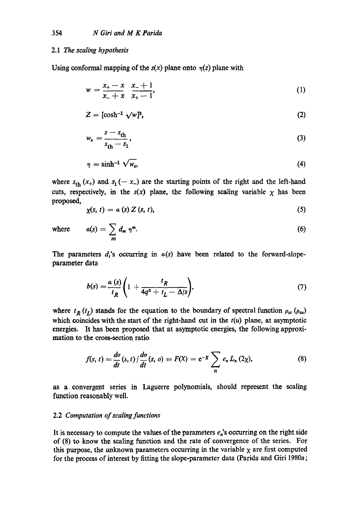### 2.1 *The scaling hypothesis*

Using conformal mapping of the  $s(x)$  plane onto  $\eta(z)$  plane with

$$
w = \frac{x_+ - x}{x_- + x} \quad \frac{x_- + 1}{x_+ - 1},\tag{1}
$$

$$
Z = [\cosh^{-1} \sqrt{w}]^2, \tag{2}
$$

$$
w_s = \frac{s - s_{\text{th}}}{s_{\text{th}} - s_1},\tag{3}
$$

$$
\eta = \sinh^{-1} \sqrt{w_s},\tag{4}
$$

where  $s_{\text{th}}(x_+)$  and  $s_1(-x_-)$  are the starting points of the right and the left-hand cuts, respectively, in the  $s(x)$  plane, the following scaling variable  $x$  has been proposed,

$$
\chi(s,\,t)\,=\,a\,(s)\,Z\,(s,\,t),\qquad \qquad (5)
$$

where 
$$
a(s) = \sum_{m} d_m \eta^m.
$$
 (6)

The parameters  $d_i$ 's occurring in  $a(s)$  have been related to the forward-slopeparameter data

$$
b(s) = \frac{a(s)}{t_R} \left( 1 + \frac{t_R}{4q^2 + t_L - \Delta/s} \right),\tag{7}
$$

where  $t_R(t_I)$  stands for the equation to the boundary of spectral function  $\rho_{st}(\rho_{su})$ which coincides with the start of the right-hand cut in the  $t(u)$  plane, at asymptotic energies. It has been proposed that at asymptotic energies, the following approximation to the cross-section ratio

$$
f(s, t) = \frac{d\sigma}{dt}(s, t) / \frac{d\sigma}{dt}(s, o) \equiv F(X) = e^{-X} \sum_{n} e_n L_n(2\chi), \qquad (8)
$$

as a convergent series in Laguerre polynomials, should represent the scaling function reasonably well.

# 2.2 *Computation of scaling functions*

It is necessary to compute the values of the parameters  $e_n$ 's occurring on the right side of (8) to know the scaling function and the rate of convergence of the series. For this purpose, the unknown parameters occurring in the variable  $\chi$  are first computed for the process of interest by fitting the slope-parameter data (Parida and Giri 1980a;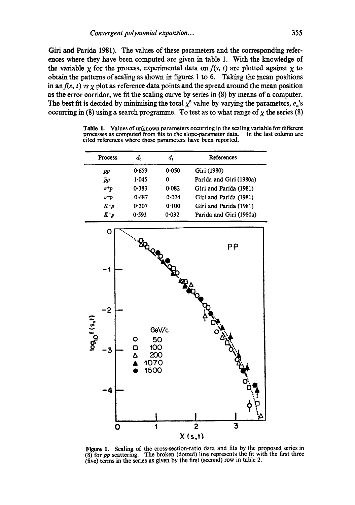Giri and Parida 1981). The values of these parameters and the corresponding references where they have been computed are given in table 1. With the knowledge of the variable  $\chi$  for the process, experimental data on  $f(s, t)$  are plotted against  $\chi$  to obtain the patterns of scaling as shown in figures 1 to 6. Taking the mean positions in an  $f(s, t)$  vs  $\chi$  plot as reference data points and the spread around the mean position as the error corridor, we fit the scaling curve by series in  $(8)$  by means of a computer. The best fit is decided by minimising the total  $\chi^2$  value by varying the parameters,  $e_n$ 's occurring in (8) using a search programme. To test as to what range of  $\chi$  the series (8)

**Table** 1. Values of unknown parameters occurring in the scaling variable for different processes as computed from fits to the slope-parameter data. In the last column are cited references where these parameters have been reported.

| <b>Process</b> | d <sub>o</sub> | d,                              | References              |  |  |
|----------------|----------------|---------------------------------|-------------------------|--|--|
| pp             | 0.659          | 0.050                           | Giri (1980)             |  |  |
| īр             | 1.045          | 0                               | Parida and Giri (1980a) |  |  |
| $\pi^+ p$      | 0.383          | 0.082                           | Giri and Parida (1981)  |  |  |
| $\pi^- p$      | 0.487          | Giri and Parida (1981)<br>0.074 |                         |  |  |
| $K^+p$         | 0.307          | 0.100                           | Giri and Parida (1981)  |  |  |
| K-p            | 0.593          | 0.032                           | Parida and Giri (1980a) |  |  |



Figure 1. Scaling of the cross-section-ratio data and fits by the proposed series in (8) for *pp* scattering. The broken (dotted) line represents the fit with the first three (five) terms in the series as given by the first (second) row in table 2.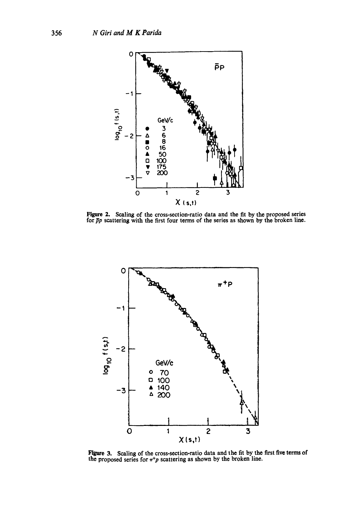

Figure 2. Scaling of the cross-section-ratio data and the fit by the proposed series for  $\bar{p}p$  scattering with the first four terms of the series as shown by the broken line.



Figure 3. Scaling of the cross-section-ratio data and the fit by the first five terms of the proposed series for  $\pi^+p$  scattering as shown by the broken line.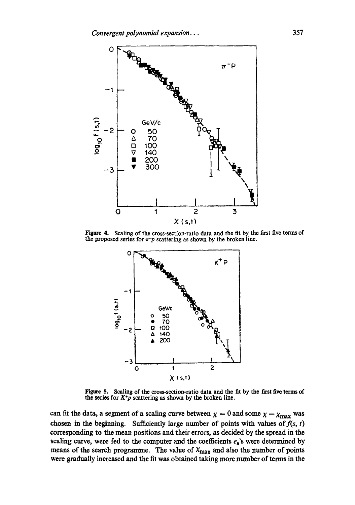

Figure 4. Scaling of the cross-section-ratio data and the fit by the first five terms of the proposed series for  $\pi^-p$  scattering as shown by the broken line.



Figure 5. Scaling of the cross-section-ratio data and the fit by the first five terms of the series for  $K+p$  scattering as shown by the broken line.

can fit the data, a segment of a scaling curve between  $\chi = 0$  and some  $\chi = \chi_{\text{max}}$  was chosen in the beginning. Sufficiently large number of points with values of  $f(s, t)$ corresponding to the mean positions and their errors, as decided by the spread in the scaling curve, were fed to the computer and the coefficients  $e_n$ 's were determined by means of the search programme. The value of  $\chi_{\text{max}}$  and also the number of points were gradually increased and the fit was obtained taking more number of terms in the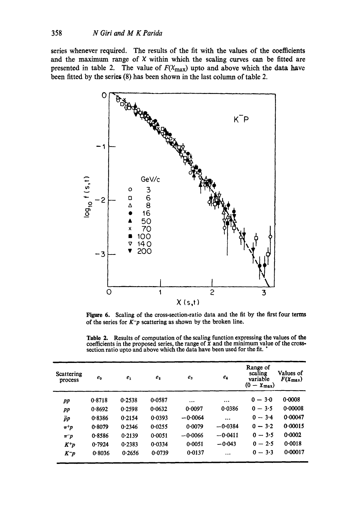series whenever required. The results of the fit with the values of the coefficients and the maximum range of  $X$  within which the scaling curves can be fitted are presented in table 2. The value of  $F(\chi_{\text{max}})$  upto and above which the data have been fitted by the series (8) has been shown in the last column of table 2.



**Figure 6.**  Scaling of the cross-section-ratio data and the fit by the first four terms of the series for  $K^-p$  scattering as shown by the broken line.

**Table** 2. Results of computation of the scaling function expressing the values of **the**  coefficients in the proposed series, the range of X and the minimum value of the crosssection ratio upto and above which the data have been used for the fit. '

| Scattering<br>process | $e_0$  | $e_{1}$ | e <sub>2</sub> | $e_{3}$   | $e_4$     | Range of<br>scaling<br>variable<br>$(0 - \chi_{\text{max}})$ | Values of<br>$F(\mathbf{X}_{\text{max}})$ |
|-----------------------|--------|---------|----------------|-----------|-----------|--------------------------------------------------------------|-------------------------------------------|
| pp                    | 0.8718 | 0.2538  | 0.0587         | $\cdots$  | $\cdots$  | $0 - 3.0$                                                    | 0.0008                                    |
| $_{pp}$               | 0.8692 | 0.2598  | 0.0632         | 0.0097    | 0.0386    | $0 - 3.5$                                                    | 0.00008                                   |
| pр                    | 0.8386 | 0.2154  | 0.0393         | $-0.0064$ | $\cdots$  | $0 - 3.4$                                                    | 0.00047                                   |
| $\pi^+ p$             | 0.8079 | 0.2346  | 0.0255         | 0.0079    | $-0.0384$ | $0 - 3.2$                                                    | 0.00015                                   |
| $\pi^- p$             | 0.8586 | 0.2139  | 0.0051         | $-0.0066$ | $-0.0411$ | $0 - 3.5$                                                    | 0.0002                                    |
| $K^+p$                | 0.7924 | 0.2383  | 0.0334         | 0.0051    | $-0.043$  | $0 - 2.5$                                                    | 0.0018                                    |
| $K^-p$                | 0.8036 | 0.2656  | 0.0739         | 0.0137    | $\ddotsc$ | $0 - 3.3$                                                    | 0.00017                                   |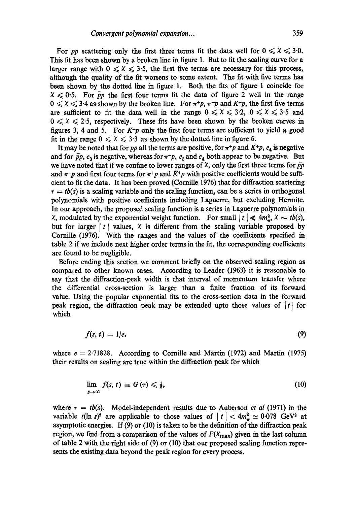For *pp* scattering only the first three terms fit the data well for  $0 \leq x \leq 3.0$ . This fit has been shown by a broken line in figure 1. But to fit the scaling curve for a larger range with  $0 \leq X \leq 3.5$ , the first five terms are necessary for this process, although the quality of the fit worsens to some extent. The fit with five terms has been shown by the dotted line in figure 1. Both the fits of figure 1 coincide for  $X \leq 0.5$ . For  $\bar{p}p$  the first four terms fit the data of figure 2 well in the range  $0 \leq x \leq 3.4$  as shown by the broken line. For  $\pi+p$ ,  $\pi-p$  and  $K+p$ , the first five terms are sufficient to fit the data well in the range  $0 \leq x \leq 3.2$ ,  $0 \leq x \leq 3.5$  and  $0 \leqslant x \leqslant 2.5$ , respectively. These fits have been shown by the broken curves in figures 3, 4 and 5. For *K-p* only the first four terms are sufficient to yield a good fit in the range  $0 \leq x \leq 3.3$  as shown by the dotted line in figure 6.

It may be noted that for *pp* all the terms are positive, for  $\pi+p$  and  $K+p$ ,  $e_4$  is negative and for  $\bar{p}p$ ,  $e_3$  is negative, whereas for  $\pi-p$ ,  $e_3$  and  $e_4$  both appear to be negative. But we have noted that if we confine to lower ranges of X, only the first three terms for  $\bar{p}p$ and  $\pi$ <sup>-</sup>p and first four terms for  $\pi$ <sup>+</sup>p and *K*<sup>+</sup>p with positive coefficients would be sufficient to fit the data. It has been proved (Comille 1976) that for diffraction scattering  $\tau = tb(s)$  is a scaling variable and the scaling function, can be a series in orthogonal polynomials with positive coefficients including Laguerre, but excluding Hermite. In our approach, the proposed scaling function is a series in Laguerre polynomials in X, modulated by the exponential weight function. For small  $|t| \leq 4m_{\pi}^2$ ,  $\chi \sim tb(s)$ , but for larger  $|t|$  values,  $\chi$  is different from the scaling variable proposed by Comille (1976). With the ranges and the values of the coefficients specified in table 2 if we include next higher order terms in the fit, the corresponding coefficients are found to be negligible.

Before ending this section we comment briefly on the observed scaling region as compared to other known cases. According to Leader (1963) it is reasonable to say that the diffraction-peak width is that interval of momentum transfer where the differential cross-section is larger than a finite fraction of its forward value. Using the popular exponential fits to the cross-section data in the forward peak region, the diffraction peak may be extended upto those values of  $|t|$  for which

$$
f(s, t) = 1/e. \tag{9}
$$

where  $e = 2.71828$ . According to Cornille and Martin (1972) and Martin (1975) their results on scaling are true within the diffraction peak for which

$$
\lim_{s\to\infty}f(s,t)\equiv G\left(\tau\right)\leqslant \frac{1}{2},\tag{10}
$$

where  $\tau = tb(s)$ . Model-independent results due to Auberson *et al* (1971) in the variable  $t(\ln s)^2$  are applicable to those values of  $|t| < 4m_\pi^2 \approx 0.078$  GeV<sup>2</sup> at asymptotic energies. If (9) or (10) is taken to be the definition of the diffraction peak region, we find from a comparison of the values of  $F(\chi_{\text{max}})$  given in the last column of table 2 with the right side of (9) or (10) that our proposed scaling function represents the existing data beyond the peak region for every process.